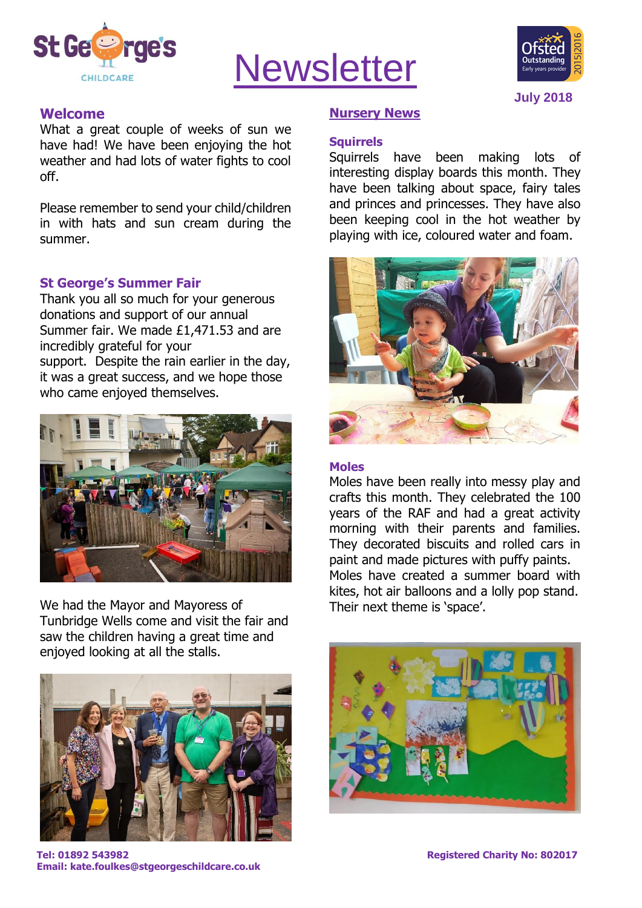

# **Newsletter**



## **Welcome**

What a great couple of weeks of sun we have had! We have been enjoying the hot weather and had lots of water fights to cool off.

Please remember to send your child/children in with hats and sun cream during the summer.

## **St George's Summer Fair**

Thank you all so much for your generous donations and support of our annual Summer fair. We made £1,471.53 and are incredibly grateful for your support. Despite the rain earlier in the day, it was a great success, and we hope those who came enjoyed themselves.



We had the Mayor and Mayoress of Tunbridge Wells come and visit the fair and saw the children having a great time and enjoyed looking at all the stalls.



**Nursery News**

#### **Squirrels**

Squirrels have been making lots of interesting display boards this month. They have been talking about space, fairy tales and princes and princesses. They have also been keeping cool in the hot weather by playing with ice, coloured water and foam.



#### **Moles**

Moles have been really into messy play and crafts this month. They celebrated the 100 years of the RAF and had a great activity morning with their parents and families. They decorated biscuits and rolled cars in paint and made pictures with puffy paints. Moles have created a summer board with kites, hot air balloons and a lolly pop stand. Their next theme is 'space'.

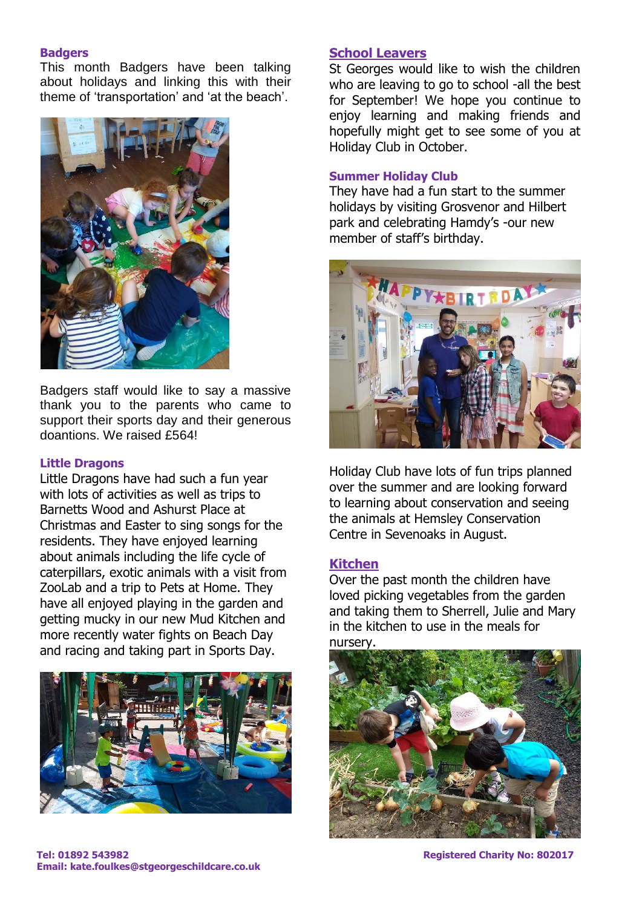#### **Badgers**

This month Badgers have been talking about holidays and linking this with their theme of 'transportation' and 'at the beach'.



Badgers staff would like to say a massive thank you to the parents who came to support their sports day and their generous doantions. We raised £564!

#### **Little Dragons**

Little Dragons have had such a fun year with lots of activities as well as trips to Barnetts Wood and Ashurst Place at Christmas and Easter to sing songs for the residents. They have enjoyed learning about animals including the life cycle of caterpillars, exotic animals with a visit from ZooLab and a trip to Pets at Home. They have all enjoyed playing in the garden and getting mucky in our new Mud Kitchen and more recently water fights on Beach Day and racing and taking part in Sports Day.



#### **School Leavers**

St Georges would like to wish the children who are leaving to go to school -all the best for September! We hope you continue to enjoy learning and making friends and hopefully might get to see some of you at Holiday Club in October.

#### **Summer Holiday Club**

They have had a fun start to the summer holidays by visiting Grosvenor and Hilbert park and celebrating Hamdy's -our new member of staff's birthday.



Holiday Club have lots of fun trips planned over the summer and are looking forward to learning about conservation and seeing the animals at Hemsley Conservation Centre in Sevenoaks in August.

#### **Kitchen**

Over the past month the children have loved picking vegetables from the garden and taking them to Sherrell, Julie and Mary in the kitchen to use in the meals for nursery.